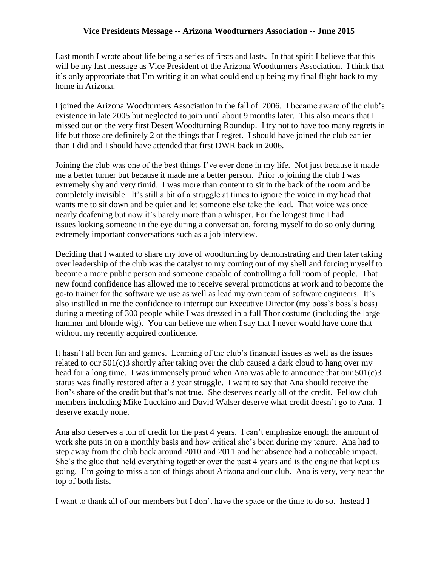## **Vice Presidents Message -- Arizona Woodturners Association -- June 2015**

Last month I wrote about life being a series of firsts and lasts. In that spirit I believe that this will be my last message as Vice President of the Arizona Woodturners Association. I think that it's only appropriate that I'm writing it on what could end up being my final flight back to my home in Arizona.

I joined the Arizona Woodturners Association in the fall of 2006. I became aware of the club's existence in late 2005 but neglected to join until about 9 months later. This also means that I missed out on the very first Desert Woodturning Roundup. I try not to have too many regrets in life but those are definitely 2 of the things that I regret. I should have joined the club earlier than I did and I should have attended that first DWR back in 2006.

Joining the club was one of the best things I've ever done in my life. Not just because it made me a better turner but because it made me a better person. Prior to joining the club I was extremely shy and very timid. I was more than content to sit in the back of the room and be completely invisible. It's still a bit of a struggle at times to ignore the voice in my head that wants me to sit down and be quiet and let someone else take the lead. That voice was once nearly deafening but now it's barely more than a whisper. For the longest time I had issues looking someone in the eye during a conversation, forcing myself to do so only during extremely important conversations such as a job interview.

Deciding that I wanted to share my love of woodturning by demonstrating and then later taking over leadership of the club was the catalyst to my coming out of my shell and forcing myself to become a more public person and someone capable of controlling a full room of people. That new found confidence has allowed me to receive several promotions at work and to become the go-to trainer for the software we use as well as lead my own team of software engineers. It's also instilled in me the confidence to interrupt our Executive Director (my boss's boss's boss) during a meeting of 300 people while I was dressed in a full Thor costume (including the large hammer and blonde wig). You can believe me when I say that I never would have done that without my recently acquired confidence.

It hasn't all been fun and games. Learning of the club's financial issues as well as the issues related to our 501(c)3 shortly after taking over the club caused a dark cloud to hang over my head for a long time. I was immensely proud when Ana was able to announce that our 501(c)3 status was finally restored after a 3 year struggle. I want to say that Ana should receive the lion's share of the credit but that's not true. She deserves nearly all of the credit. Fellow club members including Mike Lucckino and David Walser deserve what credit doesn't go to Ana. I deserve exactly none.

Ana also deserves a ton of credit for the past 4 years. I can't emphasize enough the amount of work she puts in on a monthly basis and how critical she's been during my tenure. Ana had to step away from the club back around 2010 and 2011 and her absence had a noticeable impact. She's the glue that held everything together over the past 4 years and is the engine that kept us going. I'm going to miss a ton of things about Arizona and our club. Ana is very, very near the top of both lists.

I want to thank all of our members but I don't have the space or the time to do so. Instead I